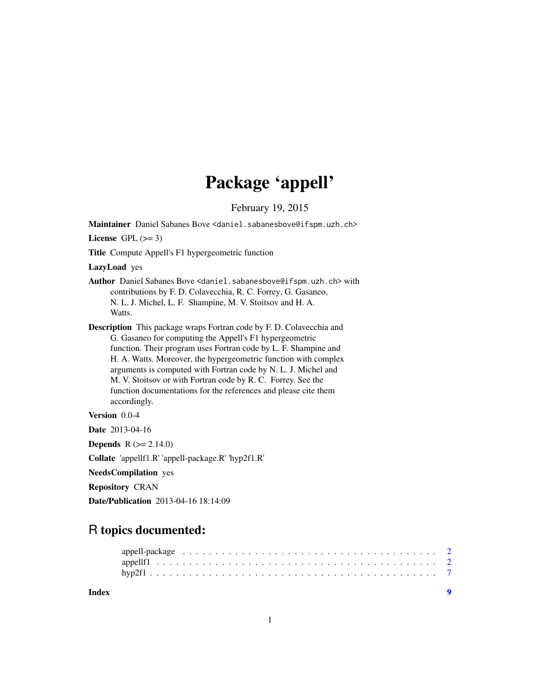## Package 'appell'

February 19, 2015

Maintainer Daniel Sabanes Bove <daniel.sabanesbove@ifspm.uzh.ch>

License GPL  $(>= 3)$ 

Title Compute Appell's F1 hypergeometric function

LazyLoad yes

Author Daniel Sabanes Bove <daniel.sabanesbove@ifspm.uzh.ch> with contributions by F. D. Colavecchia, R. C. Forrey, G. Gasaneo, N. L. J. Michel, L. F. Shampine, M. V. Stoitsov and H. A. Watts.

Description This package wraps Fortran code by F. D. Colavecchia and G. Gasaneo for computing the Appell's F1 hypergeometric function. Their program uses Fortran code by L. F. Shampine and H. A. Watts. Moreover, the hypergeometric function with complex arguments is computed with Fortran code by N. L. J. Michel and M. V. Stoitsov or with Fortran code by R. C. Forrey. See the function documentations for the references and please cite them accordingly.

Version 0.0-4

Date 2013-04-16

**Depends** R  $(>= 2.14.0)$ 

Collate 'appellf1.R' 'appell-package.R' 'hyp2f1.R'

NeedsCompilation yes

Repository CRAN

Date/Publication 2013-04-16 18:14:09

### R topics documented:

| Index |  |
|-------|--|
|       |  |
|       |  |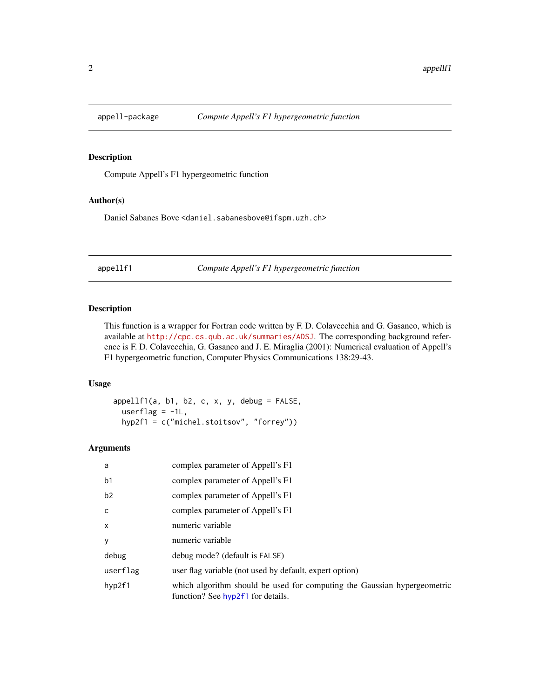<span id="page-1-0"></span>

#### Description

Compute Appell's F1 hypergeometric function

#### Author(s)

Daniel Sabanes Bove <daniel.sabanesbove@ifspm.uzh.ch>

appellf1 *Compute Appell's F1 hypergeometric function*

#### Description

This function is a wrapper for Fortran code written by F. D. Colavecchia and G. Gasaneo, which is available at <http://cpc.cs.qub.ac.uk/summaries/ADSJ>. The corresponding background reference is F. D. Colavecchia, G. Gasaneo and J. E. Miraglia (2001): Numerical evaluation of Appell's F1 hypergeometric function, Computer Physics Communications 138:29-43.

#### Usage

 $appellf1(a, b1, b2, c, x, y, debug = FALSE,$ userflag =  $-1L$ , hyp2f1 = c("michel.stoitsov", "forrey"))

#### Arguments

| a              | complex parameter of Appell's F1                                                                              |
|----------------|---------------------------------------------------------------------------------------------------------------|
| b <sub>1</sub> | complex parameter of Appell's F1                                                                              |
| b2             | complex parameter of Appell's F1                                                                              |
| $\mathsf{C}$   | complex parameter of Appell's F1                                                                              |
| $\mathsf{x}$   | numeric variable                                                                                              |
| y              | numeric variable                                                                                              |
| debug          | debug mode? (default is FALSE)                                                                                |
| userflag       | user flag variable (not used by default, expert option)                                                       |
| hyp2f1         | which algorithm should be used for computing the Gaussian hypergeometric<br>function? See hyp2f1 for details. |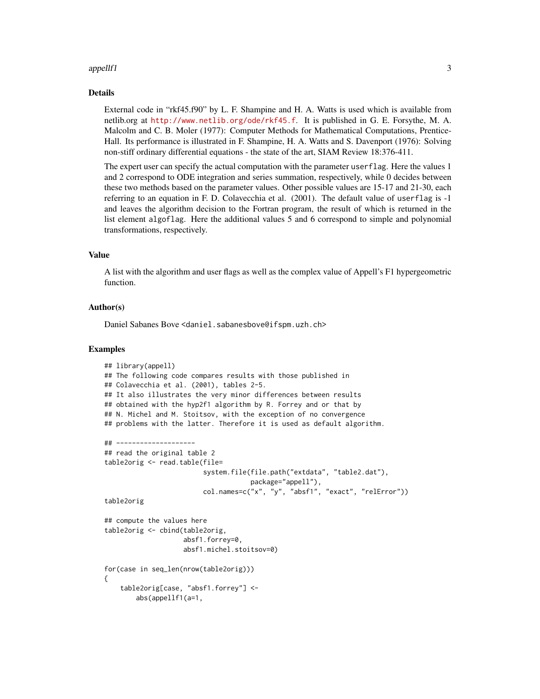#### appellf1 3

#### Details

External code in "rkf45.f90" by L. F. Shampine and H. A. Watts is used which is available from netlib.org at <http://www.netlib.org/ode/rkf45.f>. It is published in G. E. Forsythe, M. A. Malcolm and C. B. Moler (1977): Computer Methods for Mathematical Computations, Prentice-Hall. Its performance is illustrated in F. Shampine, H. A. Watts and S. Davenport (1976): Solving non-stiff ordinary differential equations - the state of the art, SIAM Review 18:376-411.

The expert user can specify the actual computation with the parameter userflag. Here the values 1 and 2 correspond to ODE integration and series summation, respectively, while 0 decides between these two methods based on the parameter values. Other possible values are 15-17 and 21-30, each referring to an equation in F. D. Colavecchia et al. (2001). The default value of userflag is -1 and leaves the algorithm decision to the Fortran program, the result of which is returned in the list element algoflag. Here the additional values 5 and 6 correspond to simple and polynomial transformations, respectively.

#### Value

A list with the algorithm and user flags as well as the complex value of Appell's F1 hypergeometric function.

#### Author(s)

Daniel Sabanes Bove <daniel.sabanesbove@ifspm.uzh.ch>

#### Examples

```
## library(appell)
## The following code compares results with those published in
## Colavecchia et al. (2001), tables 2-5.
## It also illustrates the very minor differences between results
## obtained with the hyp2f1 algorithm by R. Forrey and or that by
## N. Michel and M. Stoitsov, with the exception of no convergence
## problems with the latter. Therefore it is used as default algorithm.
## --------------------
## read the original table 2
table2orig <- read.table(file=
                         system.file(file.path("extdata", "table2.dat"),
                                     package="appell"),
                         col.names=c("x", "y", "absf1", "exact", "relError"))
table2orig
## compute the values here
table2orig <- cbind(table2orig,
                    absf1.forrey=0,
                    absf1.michel.stoitsov=0)
for(case in seq_len(nrow(table2orig)))
{
    table2orig[case, "absf1.forrey"] <-
        abs(appellf1(a=1,
```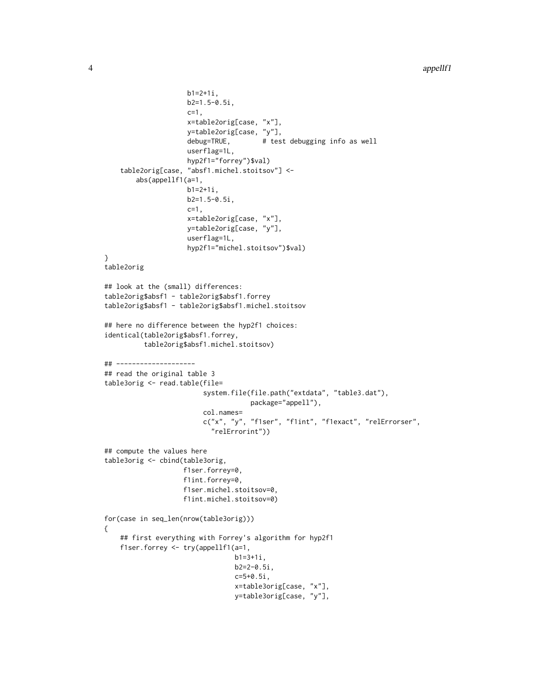```
4 appellf1
```

```
b1=2+1i,b2=1.5-0.5i,
                     c=1,
                     x=table2orig[case, "x"],
                     y=table2orig[case, "y"],
                     debug=TRUE, # test debugging info as well
                     userflag=1L,
                     hyp2f1="forrey")$val)
    table2orig[case, "absf1.michel.stoitsov"] <-
       abs(appellf1(a=1,
                     b1=2+1i,
                     b2=1.5-0.5i,
                     c=1,
                     x=table2orig[case, "x"],
                     y=table2orig[case, "y"],
                     userflag=1L,
                     hyp2f1="michel.stoitsov")$val)
}
table2orig
## look at the (small) differences:
table2orig$absf1 - table2orig$absf1.forrey
table2orig$absf1 - table2orig$absf1.michel.stoitsov
## here no difference between the hyp2f1 choices:
identical(table2orig$absf1.forrey,
          table2orig$absf1.michel.stoitsov)
## --------------------
## read the original table 3
table3orig <- read.table(file=
                         system.file(file.path("extdata", "table3.dat"),
                                     package="appell"),
                         col.names=
                         c("x", "y", "f1ser", "f1int", "f1exact", "relErrorser",
                           "relErrorint"))
## compute the values here
table3orig <- cbind(table3orig,
                    f1ser.forrey=0,
                    f1int.forrey=0,
                    f1ser.michel.stoitsov=0,
                    f1int.michel.stoitsov=0)
for(case in seq_len(nrow(table3orig)))
{
    ## first everything with Forrey's algorithm for hyp2f1
    f1ser.forrey <- try(appellf1(a=1,
                                 b1=3+1i,
                                 b2=2-0.5i,
                                 c=5+0.5i,
                                 x=table3orig[case, "x"],
                                 y=table3orig[case, "y"],
```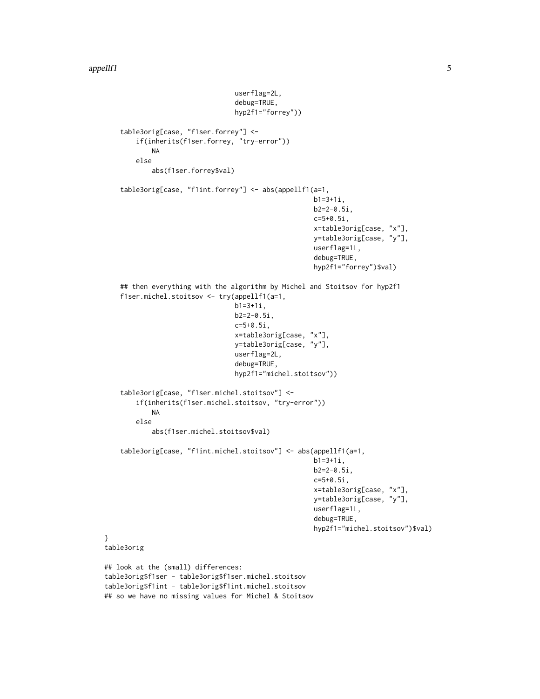}

```
userflag=2L,
                                 debug=TRUE,
                                 hyp2f1="forrey"))
    table3orig[case, "f1ser.forrey"] <-
        if(inherits(f1ser.forrey, "try-error"))
            NA
        else
            abs(f1ser.forrey$val)
    table3orig[case, "f1int.forrey"] <- abs(appellf1(a=1,
                                                      b1=3+1i,
                                                      b2=2-0.5i,
                                                      c=5+0.5i,
                                                      x=table3orig[case, "x"],
                                                     y=table3orig[case, "y"],
                                                     userflag=1L,
                                                      debug=TRUE,
                                                      hyp2f1="forrey")$val)
    ## then everything with the algorithm by Michel and Stoitsov for hyp2f1
    f1ser.michel.stoitsov <- try(appellf1(a=1,
                                 b1=3+1i,
                                 b2=2-0.5i,
                                 c=5+0.5i,
                                 x=table3orig[case, "x"],
                                 y=table3orig[case, "y"],
                                 userflag=2L,
                                 debug=TRUE,
                                 hyp2f1="michel.stoitsov"))
    table3orig[case, "f1ser.michel.stoitsov"] <-
        if(inherits(f1ser.michel.stoitsov, "try-error"))
            NA
        else
            abs(f1ser.michel.stoitsov$val)
    table3orig[case, "f1int.michel.stoitsov"] <- abs(appellf1(a=1,
                                                      b1=3+1i,
                                                     b2=2-0.5i,
                                                      c=5+0.5i,
                                                      x=table3orig[case, "x"],
                                                     y=table3orig[case, "y"],
                                                     userflag=1L,
                                                      debug=TRUE,
                                                      hyp2f1="michel.stoitsov")$val)
table3orig
## look at the (small) differences:
table3orig$f1ser - table3orig$f1ser.michel.stoitsov
table3orig$f1int - table3orig$f1int.michel.stoitsov
```

```
## so we have no missing values for Michel & Stoitsov
```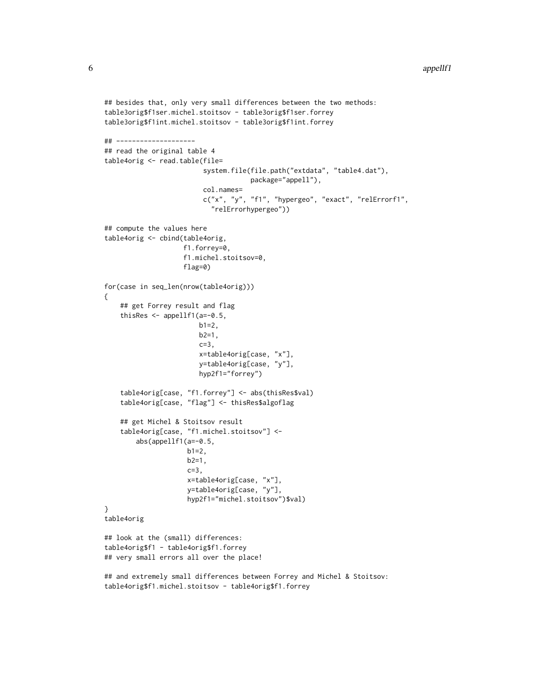```
## besides that, only very small differences between the two methods:
table3orig$f1ser.michel.stoitsov - table3orig$f1ser.forrey
table3orig$f1int.michel.stoitsov - table3orig$f1int.forrey
## --------------------
## read the original table 4
table4orig <- read.table(file=
                         system.file(file.path("extdata", "table4.dat"),
                                     package="appell"),
                         col.names=
                         c("x", "y", "f1", "hypergeo", "exact", "relErrorf1",
                           "relErrorhypergeo"))
## compute the values here
table4orig <- cbind(table4orig,
                    f1.forrey=0,
                    f1.michel.stoitsov=0,
                    flag=0)
for(case in seq_len(nrow(table4orig)))
{
    ## get Forrey result and flag
    thisRes \leq appellf1(a=-0.5,
                        b1=2,b2=1,
                        c=3,
                        x=table4orig[case, "x"],
                        y=table4orig[case, "y"],
                        hyp2f1="forrey")
    table4orig[case, "f1.forrey"] <- abs(thisRes$val)
    table4orig[case, "flag"] <- thisRes$algoflag
    ## get Michel & Stoitsov result
    table4orig[case, "f1.michel.stoitsov"] <-
        abs(appellf1(a=-0.5,
                     b1=2,
                     b2=1,
                     c=3,
                     x=table4orig[case, "x"],
                     y=table4orig[case, "y"],
                     hyp2f1="michel.stoitsov")$val)
}
table4orig
## look at the (small) differences:
table4orig$f1 - table4orig$f1.forrey
## very small errors all over the place!
## and extremely small differences between Forrey and Michel & Stoitsov:
```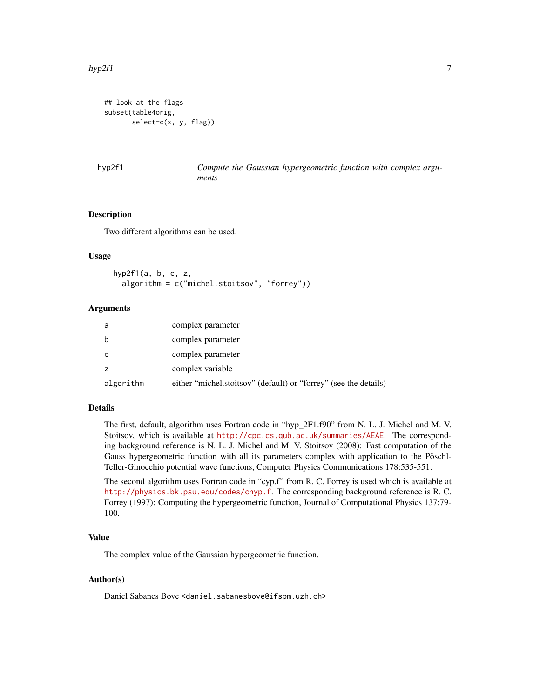```
## look at the flags
subset(table4orig,
       select=c(x, y, flag))
```
<span id="page-6-1"></span>hyp2f1 *Compute the Gaussian hypergeometric function with complex arguments*

#### Description

Two different algorithms can be used.

#### Usage

hyp2f1(a, b, c, z, algorithm = c("michel.stoitsov", "forrey"))

#### Arguments

| a         | complex parameter                                                |
|-----------|------------------------------------------------------------------|
| b         | complex parameter                                                |
| C         | complex parameter                                                |
| z         | complex variable                                                 |
| algorithm | either "michel.stoitsov" (default) or "forrey" (see the details) |

#### Details

The first, default, algorithm uses Fortran code in "hyp\_2F1.f90" from N. L. J. Michel and M. V. Stoitsov, which is available at <http://cpc.cs.qub.ac.uk/summaries/AEAE>. The corresponding background reference is N. L. J. Michel and M. V. Stoitsov (2008): Fast computation of the Gauss hypergeometric function with all its parameters complex with application to the Pöschl-Teller-Ginocchio potential wave functions, Computer Physics Communications 178:535-551.

The second algorithm uses Fortran code in "cyp.f" from R. C. Forrey is used which is available at <http://physics.bk.psu.edu/codes/chyp.f>. The corresponding background reference is R. C. Forrey (1997): Computing the hypergeometric function, Journal of Computational Physics 137:79- 100.

#### Value

The complex value of the Gaussian hypergeometric function.

#### Author(s)

Daniel Sabanes Bove <daniel.sabanesbove@ifspm.uzh.ch>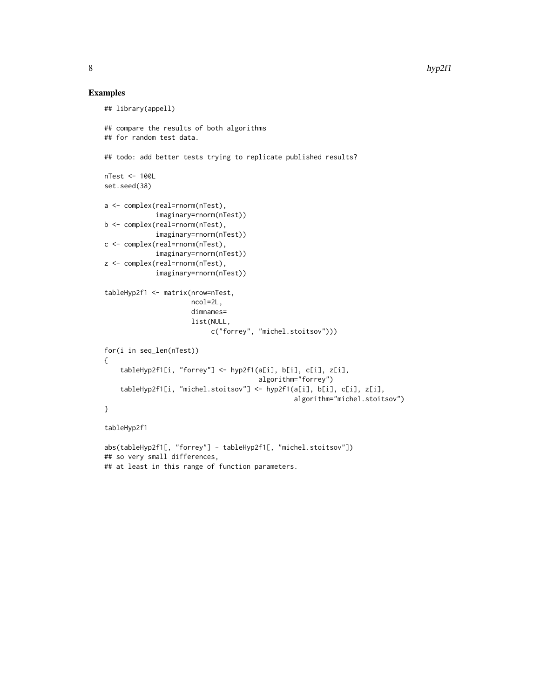#### Examples

```
## library(appell)
## compare the results of both algorithms
## for random test data.
## todo: add better tests trying to replicate published results?
nTest <- 100L
set.seed(38)
a <- complex(real=rnorm(nTest),
             imaginary=rnorm(nTest))
b <- complex(real=rnorm(nTest),
             imaginary=rnorm(nTest))
c <- complex(real=rnorm(nTest),
             imaginary=rnorm(nTest))
z <- complex(real=rnorm(nTest),
             imaginary=rnorm(nTest))
tableHyp2f1 <- matrix(nrow=nTest,
                      ncol=2L,
                      dimnames=
                      list(NULL,
                           c("forrey", "michel.stoitsov")))
for(i in seq_len(nTest))
{
    tableHyp2f1[i, "forrey"] <- hyp2f1(a[i], b[i], c[i], z[i],
                                       algorithm="forrey")
    tableHyp2f1[i, "michel.stoitsov"] <- hyp2f1(a[i], b[i], c[i], z[i],
                                                algorithm="michel.stoitsov")
}
tableHyp2f1
abs(tableHyp2f1[, "forrey"] - tableHyp2f1[, "michel.stoitsov"])
## so very small differences,
```

```
## at least in this range of function parameters.
```